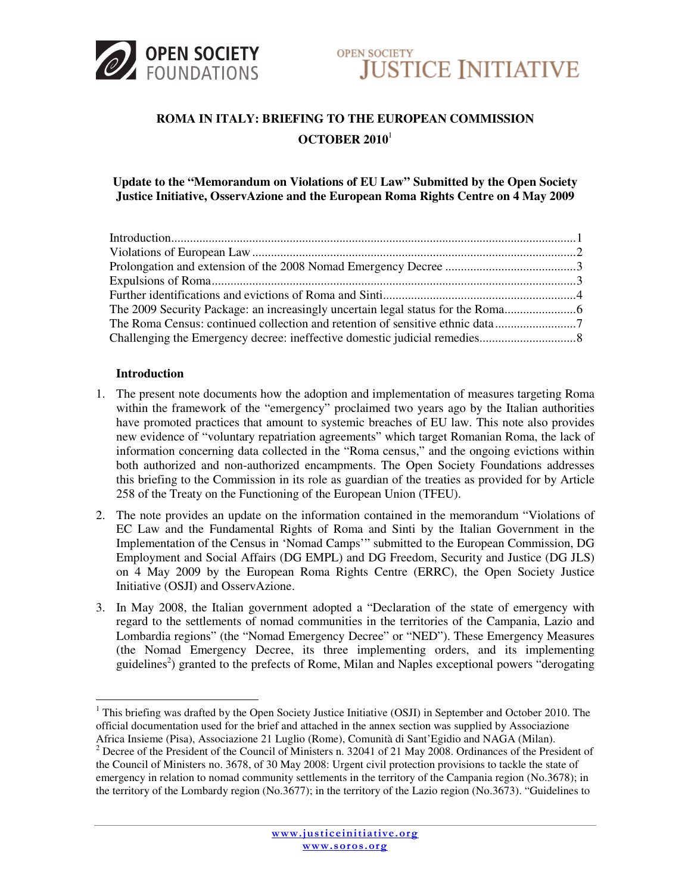



# **ROMA IN ITALY: BRIEFING TO THE EUROPEAN COMMISSION OCTOBER 2010**<sup>1</sup>

# **Update to the "Memorandum on Violations of EU Law" Submitted by the Open Society Justice Initiative, OsservAzione and the European Roma Rights Centre on 4 May 2009**

## **Introduction**

- 1. The present note documents how the adoption and implementation of measures targeting Roma within the framework of the "emergency" proclaimed two years ago by the Italian authorities have promoted practices that amount to systemic breaches of EU law. This note also provides new evidence of "voluntary repatriation agreements" which target Romanian Roma, the lack of information concerning data collected in the "Roma census," and the ongoing evictions within both authorized and non-authorized encampments. The Open Society Foundations addresses this briefing to the Commission in its role as guardian of the treaties as provided for by Article 258 of the Treaty on the Functioning of the European Union (TFEU).
- 2. The note provides an update on the information contained in the memorandum "Violations of EC Law and the Fundamental Rights of Roma and Sinti by the Italian Government in the Implementation of the Census in 'Nomad Camps'" submitted to the European Commission, DG Employment and Social Affairs (DG EMPL) and DG Freedom, Security and Justice (DG JLS) on 4 May 2009 by the European Roma Rights Centre (ERRC), the Open Society Justice Initiative (OSJI) and OsservAzione.
- 3. In May 2008, the Italian government adopted a "Declaration of the state of emergency with regard to the settlements of nomad communities in the territories of the Campania, Lazio and Lombardia regions" (the "Nomad Emergency Decree" or "NED"). These Emergency Measures (the Nomad Emergency Decree, its three implementing orders, and its implementing guidelines<sup>2</sup>) granted to the prefects of Rome, Milan and Naples exceptional powers "derogating

<sup>&</sup>lt;sup>1</sup> This briefing was drafted by the Open Society Justice Initiative (OSJI) in September and October 2010. The official documentation used for the brief and attached in the annex section was supplied by Associazione Africa Insieme (Pisa), Associazione 21 Luglio (Rome), Comunità di Sant'Egidio and NAGA (Milan).

<sup>&</sup>lt;sup>2</sup> Decree of the President of the Council of Ministers n. 32041 of 21 May 2008. Ordinances of the President of the Council of Ministers no. 3678, of 30 May 2008: Urgent civil protection provisions to tackle the state of emergency in relation to nomad community settlements in the territory of the Campania region (No.3678); in the territory of the Lombardy region (No.3677); in the territory of the Lazio region (No.3673). "Guidelines to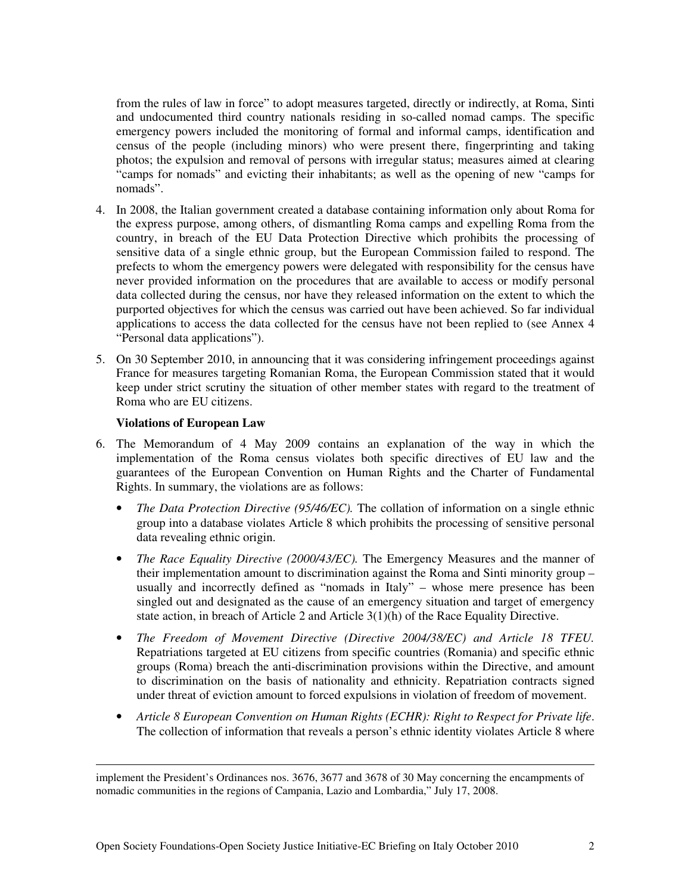from the rules of law in force" to adopt measures targeted, directly or indirectly, at Roma, Sinti and undocumented third country nationals residing in so-called nomad camps. The specific emergency powers included the monitoring of formal and informal camps, identification and census of the people (including minors) who were present there, fingerprinting and taking photos; the expulsion and removal of persons with irregular status; measures aimed at clearing "camps for nomads" and evicting their inhabitants; as well as the opening of new "camps for nomads".

- 4. In 2008, the Italian government created a database containing information only about Roma for the express purpose, among others, of dismantling Roma camps and expelling Roma from the country, in breach of the EU Data Protection Directive which prohibits the processing of sensitive data of a single ethnic group, but the European Commission failed to respond. The prefects to whom the emergency powers were delegated with responsibility for the census have never provided information on the procedures that are available to access or modify personal data collected during the census, nor have they released information on the extent to which the purported objectives for which the census was carried out have been achieved. So far individual applications to access the data collected for the census have not been replied to (see Annex 4 "Personal data applications").
- 5. On 30 September 2010, in announcing that it was considering infringement proceedings against France for measures targeting Romanian Roma, the European Commission stated that it would keep under strict scrutiny the situation of other member states with regard to the treatment of Roma who are EU citizens.

#### **Violations of European Law**

-

- 6. The Memorandum of 4 May 2009 contains an explanation of the way in which the implementation of the Roma census violates both specific directives of EU law and the guarantees of the European Convention on Human Rights and the Charter of Fundamental Rights. In summary, the violations are as follows:
	- *The Data Protection Directive (95/46/EC).* The collation of information on a single ethnic group into a database violates Article 8 which prohibits the processing of sensitive personal data revealing ethnic origin.
	- *The Race Equality Directive (2000/43/EC)*. The Emergency Measures and the manner of their implementation amount to discrimination against the Roma and Sinti minority group – usually and incorrectly defined as "nomads in Italy" – whose mere presence has been singled out and designated as the cause of an emergency situation and target of emergency state action, in breach of Article 2 and Article 3(1)(h) of the Race Equality Directive.
	- *The Freedom of Movement Directive (Directive 2004/38/EC) and Article 18 TFEU.* Repatriations targeted at EU citizens from specific countries (Romania) and specific ethnic groups (Roma) breach the anti-discrimination provisions within the Directive, and amount to discrimination on the basis of nationality and ethnicity. Repatriation contracts signed under threat of eviction amount to forced expulsions in violation of freedom of movement.
	- *Article 8 European Convention on Human Rights (ECHR): Right to Respect for Private life*. The collection of information that reveals a person's ethnic identity violates Article 8 where

implement the President's Ordinances nos. 3676, 3677 and 3678 of 30 May concerning the encampments of nomadic communities in the regions of Campania, Lazio and Lombardia," July 17, 2008.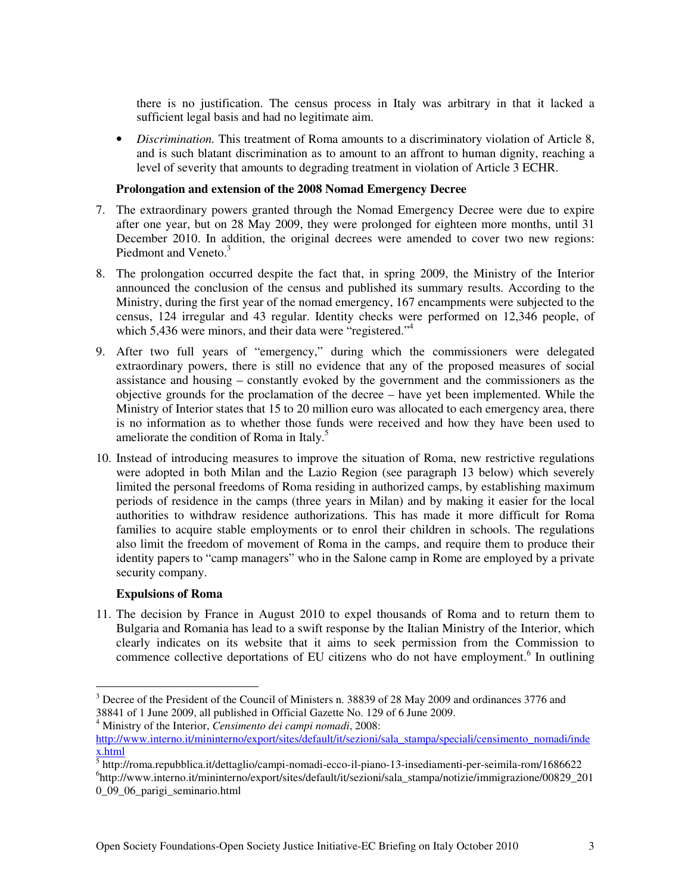there is no justification. The census process in Italy was arbitrary in that it lacked a sufficient legal basis and had no legitimate aim.

• *Discrimination.* This treatment of Roma amounts to a discriminatory violation of Article 8, and is such blatant discrimination as to amount to an affront to human dignity, reaching a level of severity that amounts to degrading treatment in violation of Article 3 ECHR.

## **Prolongation and extension of the 2008 Nomad Emergency Decree**

- 7. The extraordinary powers granted through the Nomad Emergency Decree were due to expire after one year, but on 28 May 2009, they were prolonged for eighteen more months, until 31 December 2010. In addition, the original decrees were amended to cover two new regions: Piedmont and Veneto.<sup>3</sup>
- 8. The prolongation occurred despite the fact that, in spring 2009, the Ministry of the Interior announced the conclusion of the census and published its summary results. According to the Ministry, during the first year of the nomad emergency, 167 encampments were subjected to the census, 124 irregular and 43 regular. Identity checks were performed on 12,346 people, of which 5,436 were minors, and their data were "registered."<sup>4</sup>
- 9. After two full years of "emergency," during which the commissioners were delegated extraordinary powers, there is still no evidence that any of the proposed measures of social assistance and housing – constantly evoked by the government and the commissioners as the objective grounds for the proclamation of the decree – have yet been implemented. While the Ministry of Interior states that 15 to 20 million euro was allocated to each emergency area, there is no information as to whether those funds were received and how they have been used to ameliorate the condition of Roma in Italy. $5$
- 10. Instead of introducing measures to improve the situation of Roma, new restrictive regulations were adopted in both Milan and the Lazio Region (see paragraph 13 below) which severely limited the personal freedoms of Roma residing in authorized camps, by establishing maximum periods of residence in the camps (three years in Milan) and by making it easier for the local authorities to withdraw residence authorizations. This has made it more difficult for Roma families to acquire stable employments or to enrol their children in schools. The regulations also limit the freedom of movement of Roma in the camps, and require them to produce their identity papers to "camp managers" who in the Salone camp in Rome are employed by a private security company.

## **Expulsions of Roma**

11. The decision by France in August 2010 to expel thousands of Roma and to return them to Bulgaria and Romania has lead to a swift response by the Italian Ministry of the Interior, which clearly indicates on its website that it aims to seek permission from the Commission to commence collective deportations of EU citizens who do not have employment.<sup>6</sup> In outlining

4 Ministry of the Interior, *Censimento dei campi nomadi*, 2008:

 $\overline{a}$ <sup>3</sup> Decree of the President of the Council of Ministers n. 38839 of 28 May 2009 and ordinances 3776 and 38841 of 1 June 2009, all published in Official Gazette No. 129 of 6 June 2009.

http://www.interno.it/mininterno/export/sites/default/it/sezioni/sala\_stampa/speciali/censimento\_nomadi/inde x.html

<sup>5</sup> http://roma.repubblica.it/dettaglio/campi-nomadi-ecco-il-piano-13-insediamenti-per-seimila-rom/1686622

<sup>6</sup> http://www.interno.it/mininterno/export/sites/default/it/sezioni/sala\_stampa/notizie/immigrazione/00829\_201 0\_09\_06\_parigi\_seminario.html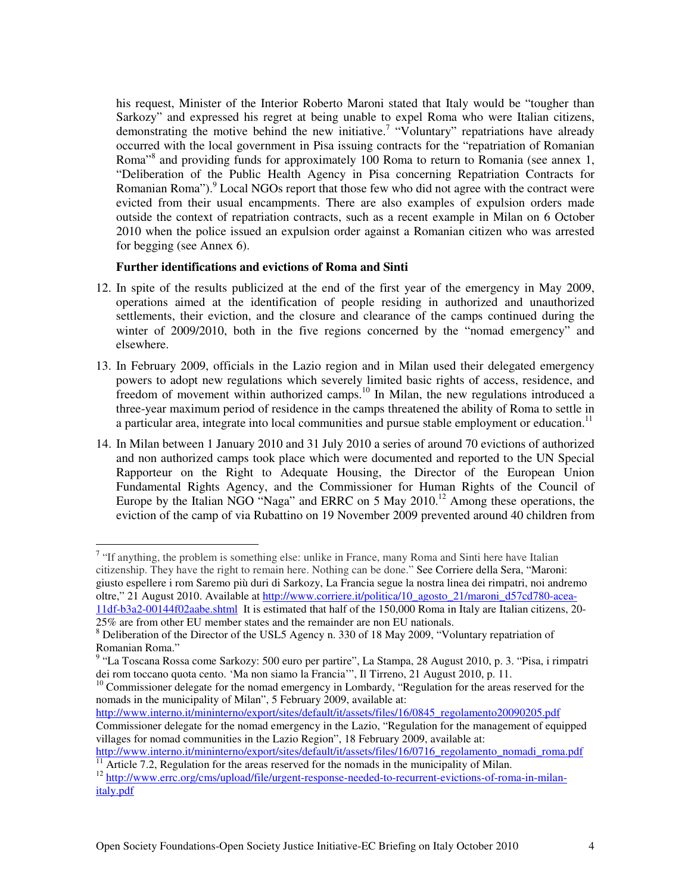his request, Minister of the Interior Roberto Maroni stated that Italy would be "tougher than Sarkozy" and expressed his regret at being unable to expel Roma who were Italian citizens, demonstrating the motive behind the new initiative.<sup>7</sup> "Voluntary" repatriations have already occurred with the local government in Pisa issuing contracts for the "repatriation of Romanian Roma<sup>38</sup> and providing funds for approximately 100 Roma to return to Romania (see annex 1, "Deliberation of the Public Health Agency in Pisa concerning Repatriation Contracts for Romanian Roma").<sup>9</sup> Local NGOs report that those few who did not agree with the contract were evicted from their usual encampments. There are also examples of expulsion orders made outside the context of repatriation contracts, such as a recent example in Milan on 6 October 2010 when the police issued an expulsion order against a Romanian citizen who was arrested for begging (see Annex 6).

## **Further identifications and evictions of Roma and Sinti**

- 12. In spite of the results publicized at the end of the first year of the emergency in May 2009, operations aimed at the identification of people residing in authorized and unauthorized settlements, their eviction, and the closure and clearance of the camps continued during the winter of 2009/2010, both in the five regions concerned by the "nomad emergency" and elsewhere.
- 13. In February 2009, officials in the Lazio region and in Milan used their delegated emergency powers to adopt new regulations which severely limited basic rights of access, residence, and freedom of movement within authorized camps.<sup>10</sup> In Milan, the new regulations introduced a three-year maximum period of residence in the camps threatened the ability of Roma to settle in a particular area, integrate into local communities and pursue stable employment or education.<sup>11</sup>
- 14. In Milan between 1 January 2010 and 31 July 2010 a series of around 70 evictions of authorized and non authorized camps took place which were documented and reported to the UN Special Rapporteur on the Right to Adequate Housing, the Director of the European Union Fundamental Rights Agency, and the Commissioner for Human Rights of the Council of Europe by the Italian NGO "Naga" and ERRC on 5 May 2010.<sup>12</sup> Among these operations, the eviction of the camp of via Rubattino on 19 November 2009 prevented around 40 children from

```
25% are from other EU member states and the remainder are non EU nationals.
```
 $\overline{a}$ 

http://www.interno.it/mininterno/export/sites/default/it/assets/files/16/0845\_regolamento20090205.pdf

<sup>&</sup>lt;sup>7</sup> "If anything, the problem is something else: unlike in France, many Roma and Sinti here have Italian citizenship. They have the right to remain here. Nothing can be done." See Corriere della Sera, "Maroni: giusto espellere i rom Saremo più duri di Sarkozy, La Francia segue la nostra linea dei rimpatri, noi andremo oltre," 21 August 2010. Available at http://www.corriere.it/politica/10\_agosto\_21/maroni\_d57cd780-acea-11df-b3a2-00144f02aabe.shtml It is estimated that half of the 150,000 Roma in Italy are Italian citizens, 20-

<sup>&</sup>lt;sup>8</sup> Deliberation of the Director of the USL5 Agency n. 330 of 18 May 2009, "Voluntary repatriation of Romanian Roma."

<sup>&</sup>lt;sup>9</sup> "La Toscana Rossa come Sarkozy: 500 euro per partire", La Stampa, 28 August 2010, p. 3. "Pisa, i rimpatri dei rom toccano quota cento. 'Ma non siamo la Francia'", Il Tirreno, 21 August 2010, p. 11.

<sup>&</sup>lt;sup>10</sup> Commissioner delegate for the nomad emergency in Lombardy, "Regulation for the areas reserved for the nomads in the municipality of Milan", 5 February 2009, available at:

Commissioner delegate for the nomad emergency in the Lazio, "Regulation for the management of equipped villages for nomad communities in the Lazio Region", 18 February 2009, available at:

http://www.interno.it/mininterno/export/sites/default/it/assets/files/16/0716\_regolamento\_nomadi\_roma.pdf  $\overline{11}$  Article 7.2, Regulation for the areas reserved for the nomads in the municipality of Milan.

<sup>&</sup>lt;sup>12</sup> http://www.errc.org/cms/upload/file/urgent-response-needed-to-recurrent-evictions-of-roma-in-milanitaly.pdf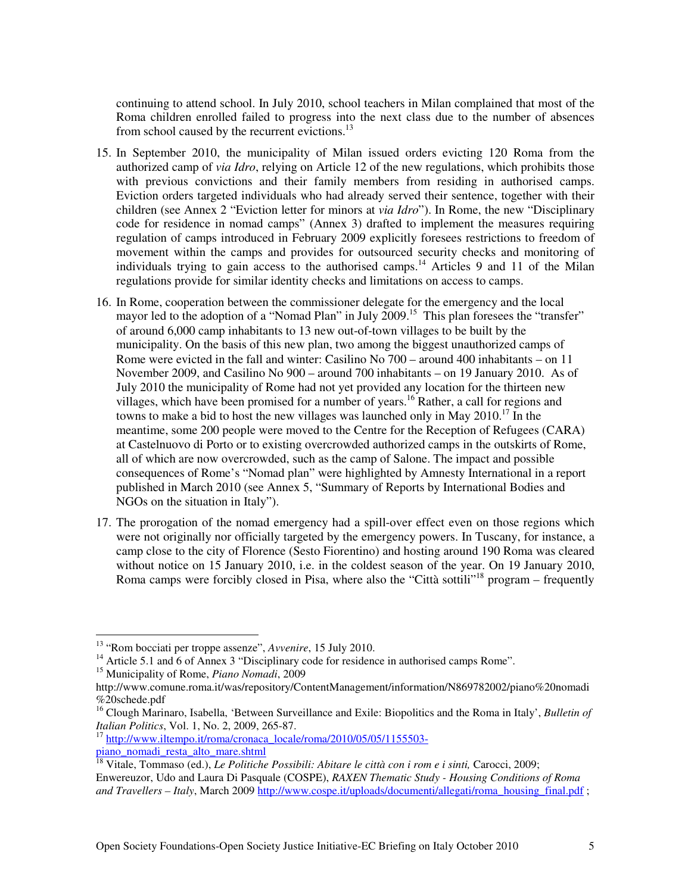continuing to attend school. In July 2010, school teachers in Milan complained that most of the Roma children enrolled failed to progress into the next class due to the number of absences from school caused by the recurrent evictions.<sup>13</sup>

- 15. In September 2010, the municipality of Milan issued orders evicting 120 Roma from the authorized camp of *via Idro*, relying on Article 12 of the new regulations, which prohibits those with previous convictions and their family members from residing in authorised camps. Eviction orders targeted individuals who had already served their sentence, together with their children (see Annex 2 "Eviction letter for minors at *via Idro*"). In Rome, the new "Disciplinary code for residence in nomad camps" (Annex 3) drafted to implement the measures requiring regulation of camps introduced in February 2009 explicitly foresees restrictions to freedom of movement within the camps and provides for outsourced security checks and monitoring of individuals trying to gain access to the authorised camps.<sup>14</sup> Articles 9 and 11 of the Milan regulations provide for similar identity checks and limitations on access to camps.
- 16. In Rome, cooperation between the commissioner delegate for the emergency and the local mayor led to the adoption of a "Nomad Plan" in July 2009.<sup>15</sup> This plan foresees the "transfer" of around 6,000 camp inhabitants to 13 new out-of-town villages to be built by the municipality. On the basis of this new plan, two among the biggest unauthorized camps of Rome were evicted in the fall and winter: Casilino No 700 – around 400 inhabitants – on 11 November 2009, and Casilino No 900 – around 700 inhabitants – on 19 January 2010. As of July 2010 the municipality of Rome had not yet provided any location for the thirteen new villages, which have been promised for a number of years.<sup>16</sup> Rather, a call for regions and towns to make a bid to host the new villages was launched only in May  $2010$ <sup>17</sup>. In the meantime, some 200 people were moved to the Centre for the Reception of Refugees (CARA) at Castelnuovo di Porto or to existing overcrowded authorized camps in the outskirts of Rome, all of which are now overcrowded, such as the camp of Salone. The impact and possible consequences of Rome's "Nomad plan" were highlighted by Amnesty International in a report published in March 2010 (see Annex 5, "Summary of Reports by International Bodies and NGOs on the situation in Italy").
- 17. The prorogation of the nomad emergency had a spill-over effect even on those regions which were not originally nor officially targeted by the emergency powers. In Tuscany, for instance, a camp close to the city of Florence (Sesto Fiorentino) and hosting around 190 Roma was cleared without notice on 15 January 2010, i.e. in the coldest season of the year. On 19 January 2010, Roma camps were forcibly closed in Pisa, where also the "Città sottili"<sup>18</sup> program – frequently

<sup>13</sup> "Rom bocciati per troppe assenze", *Avvenire*, 15 July 2010.

<sup>&</sup>lt;sup>14</sup> Article 5.1 and 6 of Annex 3 "Disciplinary code for residence in authorised camps Rome".

<sup>15</sup> Municipality of Rome, *Piano Nomadi*, 2009

http://www.comune.roma.it/was/repository/ContentManagement/information/N869782002/piano%20nomadi %20schede.pdf

<sup>16</sup> Clough Marinaro, Isabella, 'Between Surveillance and Exile: Biopolitics and the Roma in Italy', *Bulletin of Italian Politics*, Vol. 1, No. 2, 2009, 265-87.

<sup>&</sup>lt;sup>17</sup> http://www.iltempo.it/roma/cronaca\_locale/roma/2010/05/05/1155503piano\_nomadi\_resta\_alto\_mare.shtml

<sup>&</sup>lt;sup>18</sup> Vitale, Tommaso (ed.), *Le Politiche Possibili: Abitare le città con i rom e i sinti*, Carocci, 2009; Enwereuzor, Udo and Laura Di Pasquale (COSPE), *RAXEN Thematic Study - Housing Conditions of Roma and Travellers – Italy*, March 2009 http://www.cospe.it/uploads/documenti/allegati/roma\_housing\_final.pdf ;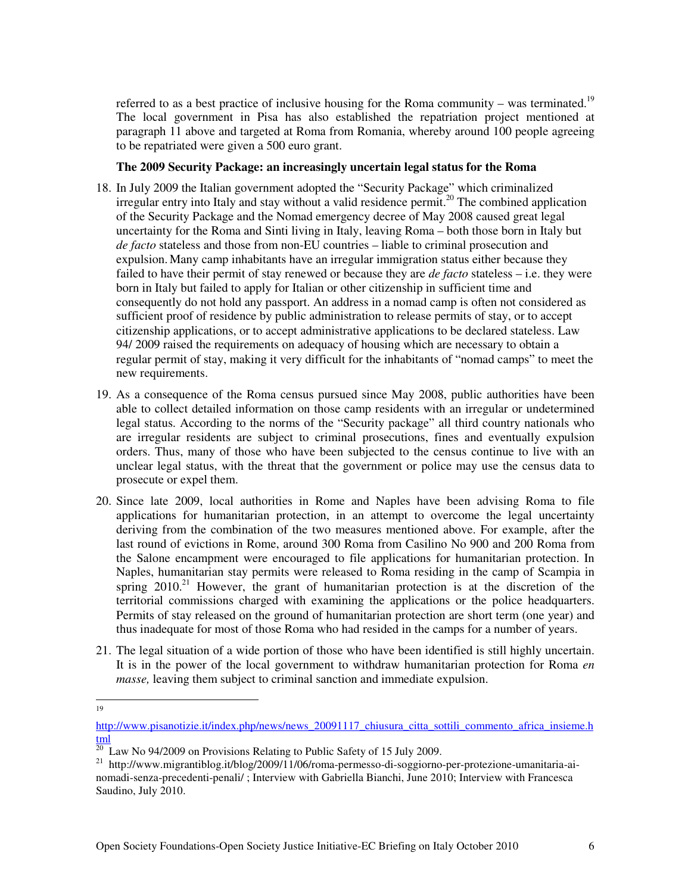referred to as a best practice of inclusive housing for the Roma community – was terminated.<sup>19</sup> The local government in Pisa has also established the repatriation project mentioned at paragraph 11 above and targeted at Roma from Romania, whereby around 100 people agreeing to be repatriated were given a 500 euro grant.

## **The 2009 Security Package: an increasingly uncertain legal status for the Roma**

- 18. In July 2009 the Italian government adopted the "Security Package" which criminalized irregular entry into Italy and stay without a valid residence permit.<sup>20</sup> The combined application of the Security Package and the Nomad emergency decree of May 2008 caused great legal uncertainty for the Roma and Sinti living in Italy, leaving Roma – both those born in Italy but *de facto* stateless and those from non-EU countries – liable to criminal prosecution and expulsion. Many camp inhabitants have an irregular immigration status either because they failed to have their permit of stay renewed or because they are *de facto* stateless – i.e. they were born in Italy but failed to apply for Italian or other citizenship in sufficient time and consequently do not hold any passport. An address in a nomad camp is often not considered as sufficient proof of residence by public administration to release permits of stay, or to accept citizenship applications, or to accept administrative applications to be declared stateless. Law 94/ 2009 raised the requirements on adequacy of housing which are necessary to obtain a regular permit of stay, making it very difficult for the inhabitants of "nomad camps" to meet the new requirements.
- 19. As a consequence of the Roma census pursued since May 2008, public authorities have been able to collect detailed information on those camp residents with an irregular or undetermined legal status. According to the norms of the "Security package" all third country nationals who are irregular residents are subject to criminal prosecutions, fines and eventually expulsion orders. Thus, many of those who have been subjected to the census continue to live with an unclear legal status, with the threat that the government or police may use the census data to prosecute or expel them.
- 20. Since late 2009, local authorities in Rome and Naples have been advising Roma to file applications for humanitarian protection, in an attempt to overcome the legal uncertainty deriving from the combination of the two measures mentioned above. For example, after the last round of evictions in Rome, around 300 Roma from Casilino No 900 and 200 Roma from the Salone encampment were encouraged to file applications for humanitarian protection. In Naples, humanitarian stay permits were released to Roma residing in the camp of Scampia in spring  $2010<sup>21</sup>$  However, the grant of humanitarian protection is at the discretion of the territorial commissions charged with examining the applications or the police headquarters. Permits of stay released on the ground of humanitarian protection are short term (one year) and thus inadequate for most of those Roma who had resided in the camps for a number of years.
- 21. The legal situation of a wide portion of those who have been identified is still highly uncertain. It is in the power of the local government to withdraw humanitarian protection for Roma *en masse*, leaving them subject to criminal sanction and immediate expulsion.

 $\frac{1}{19}$ 

http://www.pisanotizie.it/index.php/news/news\_20091117\_chiusura\_citta\_sottili\_commento\_africa\_insieme.h tml

 $^{20}$  Law No 94/2009 on Provisions Relating to Public Safety of 15 July 2009.

<sup>21</sup> http://www.migrantiblog.it/blog/2009/11/06/roma-permesso-di-soggiorno-per-protezione-umanitaria-ainomadi-senza-precedenti-penali/ ; Interview with Gabriella Bianchi, June 2010; Interview with Francesca Saudino, July 2010.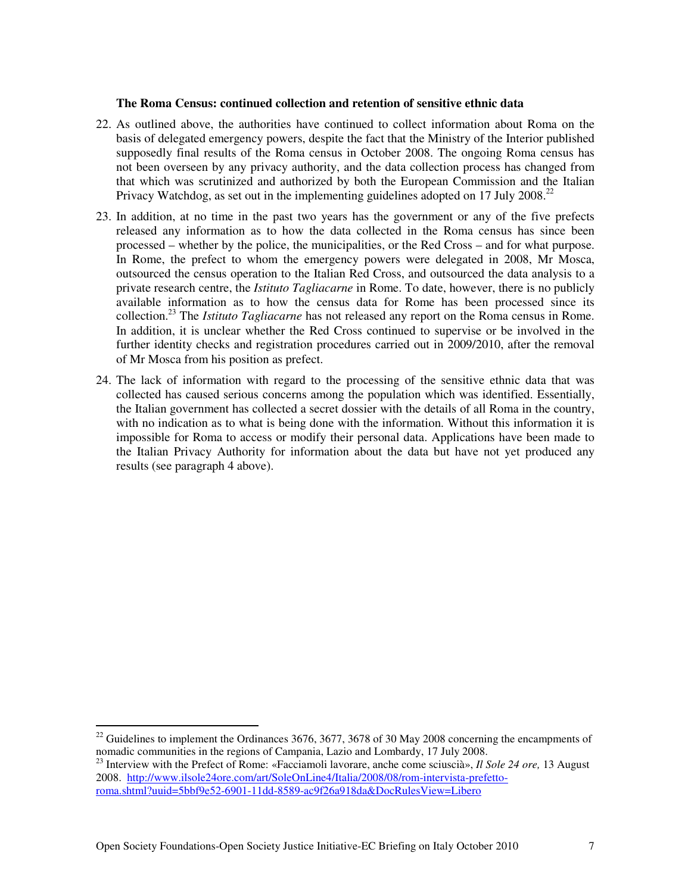#### **The Roma Census: continued collection and retention of sensitive ethnic data**

- 22. As outlined above, the authorities have continued to collect information about Roma on the basis of delegated emergency powers, despite the fact that the Ministry of the Interior published supposedly final results of the Roma census in October 2008. The ongoing Roma census has not been overseen by any privacy authority, and the data collection process has changed from that which was scrutinized and authorized by both the European Commission and the Italian Privacy Watchdog, as set out in the implementing guidelines adopted on 17 July 2008.<sup>22</sup>
- 23. In addition, at no time in the past two years has the government or any of the five prefects released any information as to how the data collected in the Roma census has since been processed – whether by the police, the municipalities, or the Red Cross – and for what purpose. In Rome, the prefect to whom the emergency powers were delegated in 2008, Mr Mosca, outsourced the census operation to the Italian Red Cross, and outsourced the data analysis to a private research centre, the *Istituto Tagliacarne* in Rome. To date, however, there is no publicly available information as to how the census data for Rome has been processed since its collection.<sup>23</sup> The *Istituto Tagliacarne* has not released any report on the Roma census in Rome. In addition, it is unclear whether the Red Cross continued to supervise or be involved in the further identity checks and registration procedures carried out in 2009/2010, after the removal of Mr Mosca from his position as prefect.
- 24. The lack of information with regard to the processing of the sensitive ethnic data that was collected has caused serious concerns among the population which was identified. Essentially, the Italian government has collected a secret dossier with the details of all Roma in the country, with no indication as to what is being done with the information. Without this information it is impossible for Roma to access or modify their personal data. Applications have been made to the Italian Privacy Authority for information about the data but have not yet produced any results (see paragraph 4 above).

 $22$  Guidelines to implement the Ordinances 3676, 3677, 3678 of 30 May 2008 concerning the encampments of nomadic communities in the regions of Campania, Lazio and Lombardy, 17 July 2008.

<sup>23</sup> Interview with the Prefect of Rome: «Facciamoli lavorare, anche come sciuscià», *Il Sole 24 ore,* 13 August 2008. http://www.ilsole24ore.com/art/SoleOnLine4/Italia/2008/08/rom-intervista-prefettoroma.shtml?uuid=5bbf9e52-6901-11dd-8589-ac9f26a918da&DocRulesView=Libero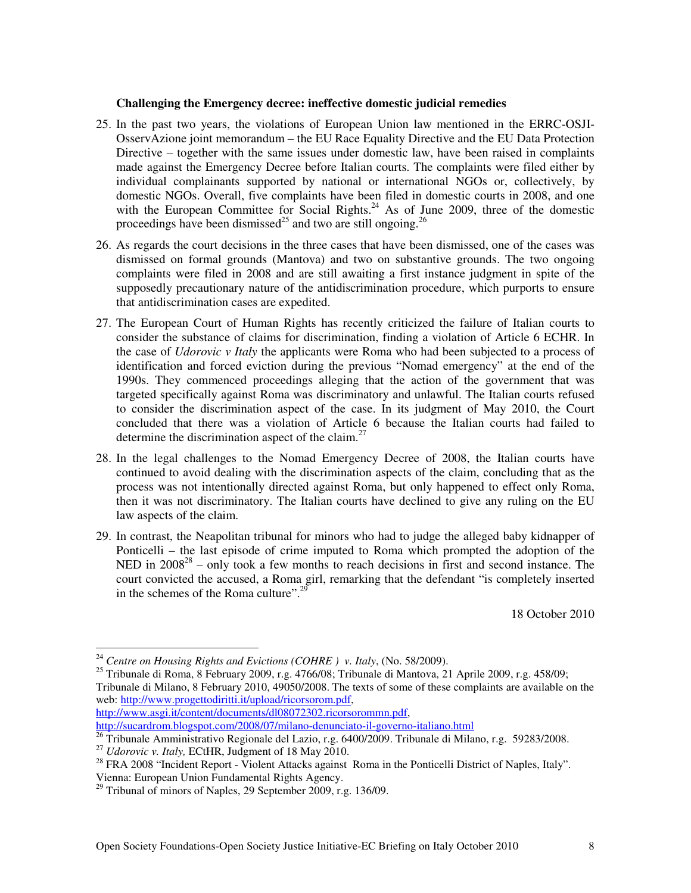## **Challenging the Emergency decree: ineffective domestic judicial remedies**

- 25. In the past two years, the violations of European Union law mentioned in the ERRC-OSJI-OsservAzione joint memorandum – the EU Race Equality Directive and the EU Data Protection Directive – together with the same issues under domestic law, have been raised in complaints made against the Emergency Decree before Italian courts. The complaints were filed either by individual complainants supported by national or international NGOs or, collectively, by domestic NGOs. Overall, five complaints have been filed in domestic courts in 2008, and one with the European Committee for Social Rights.<sup>24</sup> As of June 2009, three of the domestic proceedings have been dismissed<sup>25</sup> and two are still ongoing.<sup>26</sup>
- 26. As regards the court decisions in the three cases that have been dismissed, one of the cases was dismissed on formal grounds (Mantova) and two on substantive grounds. The two ongoing complaints were filed in 2008 and are still awaiting a first instance judgment in spite of the supposedly precautionary nature of the antidiscrimination procedure, which purports to ensure that antidiscrimination cases are expedited.
- 27. The European Court of Human Rights has recently criticized the failure of Italian courts to consider the substance of claims for discrimination, finding a violation of Article 6 ECHR. In the case of *Udorovic v Italy* the applicants were Roma who had been subjected to a process of identification and forced eviction during the previous "Nomad emergency" at the end of the 1990s. They commenced proceedings alleging that the action of the government that was targeted specifically against Roma was discriminatory and unlawful. The Italian courts refused to consider the discrimination aspect of the case. In its judgment of May 2010, the Court concluded that there was a violation of Article 6 because the Italian courts had failed to determine the discrimination aspect of the claim. $27$
- 28. In the legal challenges to the Nomad Emergency Decree of 2008, the Italian courts have continued to avoid dealing with the discrimination aspects of the claim, concluding that as the process was not intentionally directed against Roma, but only happened to effect only Roma, then it was not discriminatory. The Italian courts have declined to give any ruling on the EU law aspects of the claim.
- 29. In contrast, the Neapolitan tribunal for minors who had to judge the alleged baby kidnapper of Ponticelli – the last episode of crime imputed to Roma which prompted the adoption of the NED in  $2008^{28}$  – only took a few months to reach decisions in first and second instance. The court convicted the accused, a Roma girl, remarking that the defendant "is completely inserted in the schemes of the Roma culture".<sup>29</sup>

18 October 2010

http://www.asgi.it/content/documents/dl08072302.ricorsorommn.pdf,

http://sucardrom.blogspot.com/2008/07/milano-denunciato-il-governo-italiano.html

<sup>24</sup> *Centre on Housing Rights and Evictions (COHRE ) v. Italy*, (No. 58/2009).

<sup>&</sup>lt;sup>25</sup> Tribunale di Roma, 8 February 2009, r.g. 4766/08; Tribunale di Mantova, 21 Aprile 2009, r.g. 458/09; Tribunale di Milano, 8 February 2010, 49050/2008. The texts of some of these complaints are available on the web: http://www.progettodiritti.it/upload/ricorsorom.pdf,

 $\frac{26}{10}$  Tribunale Amministrativo Regionale del Lazio, r.g. 6400/2009. Tribunale di Milano, r.g. 59283/2008.

<sup>27</sup> *Udorovic v. Italy,* ECtHR, Judgment of 18 May 2010.

<sup>&</sup>lt;sup>28</sup> FRA 2008 "Incident Report - Violent Attacks against Roma in the Ponticelli District of Naples, Italy". Vienna: European Union Fundamental Rights Agency.

<sup>&</sup>lt;sup>29</sup> Tribunal of minors of Naples, 29 September 2009, r.g. 136/09.